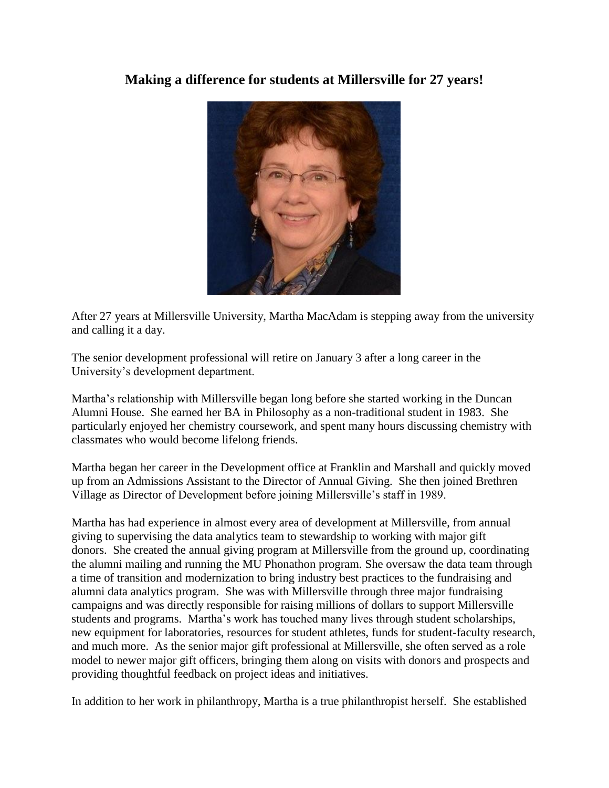## **Making a difference for students at Millersville for 27 years!**



After 27 years at Millersville University, Martha MacAdam is stepping away from the university and calling it a day.

The senior development professional will retire on January 3 after a long career in the University's development department.

Martha's relationship with Millersville began long before she started working in the Duncan Alumni House. She earned her BA in Philosophy as a non-traditional student in 1983. She particularly enjoyed her chemistry coursework, and spent many hours discussing chemistry with classmates who would become lifelong friends.

Martha began her career in the Development office at Franklin and Marshall and quickly moved up from an Admissions Assistant to the Director of Annual Giving. She then joined Brethren Village as Director of Development before joining Millersville's staff in 1989.

Martha has had experience in almost every area of development at Millersville, from annual giving to supervising the data analytics team to stewardship to working with major gift donors. She created the annual giving program at Millersville from the ground up, coordinating the alumni mailing and running the MU Phonathon program. She oversaw the data team through a time of transition and modernization to bring industry best practices to the fundraising and alumni data analytics program. She was with Millersville through three major fundraising campaigns and was directly responsible for raising millions of dollars to support Millersville students and programs. Martha's work has touched many lives through student scholarships, new equipment for laboratories, resources for student athletes, funds for student-faculty research, and much more. As the senior major gift professional at Millersville, she often served as a role model to newer major gift officers, bringing them along on visits with donors and prospects and providing thoughtful feedback on project ideas and initiatives.

In addition to her work in philanthropy, Martha is a true philanthropist herself. She established